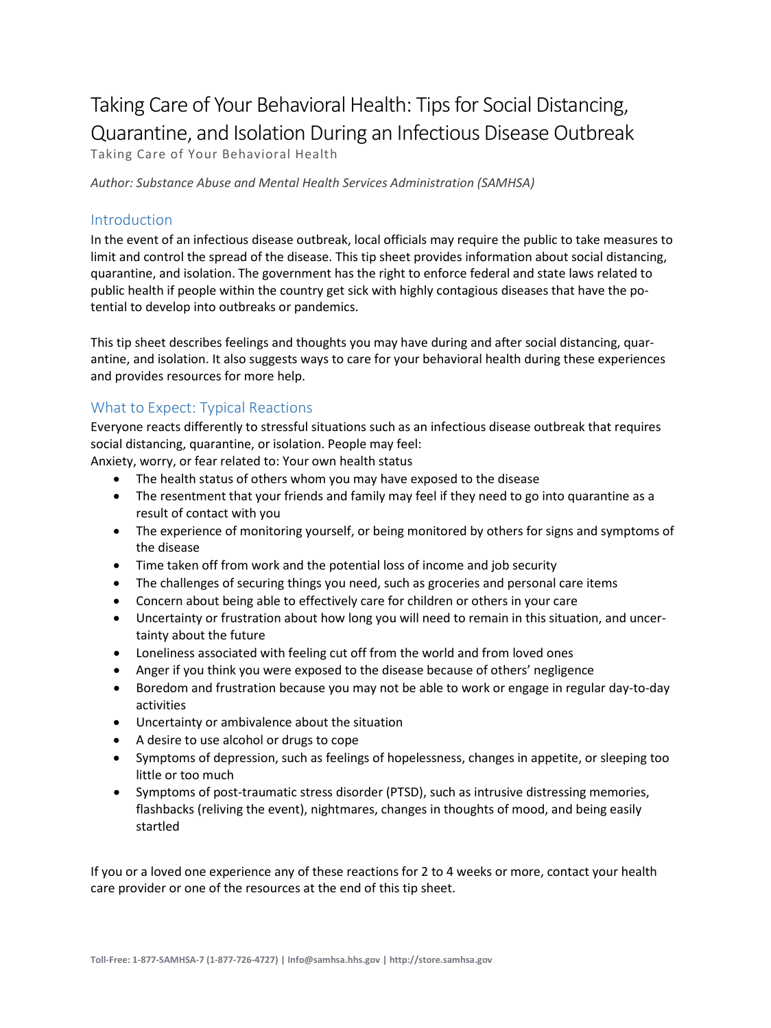# Taking Care of Your Behavioral Health: Tips for Social Distancing, Quarantine, and Isolation During an Infectious Disease Outbreak

Taking Care of Your Behavioral Health

*Author: Substance Abuse and Mental Health Services Administration (SAMHSA)*

# **Introduction**

In the event of an infectious disease outbreak, local officials may require the public to take measures to limit and control the spread of the disease. This tip sheet provides information about social distancing, quarantine, and isolation. The government has the right to enforce federal and state laws related to public health if people within the country get sick with highly contagious diseases that have the potential to develop into outbreaks or pandemics.

This tip sheet describes feelings and thoughts you may have during and after social distancing, quarantine, and isolation. It also suggests ways to care for your behavioral health during these experiences and provides resources for more help.

# What to Expect: Typical Reactions

Everyone reacts differently to stressful situations such as an infectious disease outbreak that requires social distancing, quarantine, or isolation. People may feel:

Anxiety, worry, or fear related to: Your own health status

- The health status of others whom you may have exposed to the disease
- The resentment that your friends and family may feel if they need to go into quarantine as a result of contact with you
- The experience of monitoring yourself, or being monitored by others for signs and symptoms of the disease
- Time taken off from work and the potential loss of income and job security
- The challenges of securing things you need, such as groceries and personal care items
- Concern about being able to effectively care for children or others in your care
- Uncertainty or frustration about how long you will need to remain in this situation, and uncertainty about the future
- Loneliness associated with feeling cut off from the world and from loved ones
- Anger if you think you were exposed to the disease because of others' negligence
- Boredom and frustration because you may not be able to work or engage in regular day-to-day activities
- Uncertainty or ambivalence about the situation
- A desire to use alcohol or drugs to cope
- Symptoms of depression, such as feelings of hopelessness, changes in appetite, or sleeping too little or too much
- Symptoms of post-traumatic stress disorder (PTSD), such as intrusive distressing memories, flashbacks (reliving the event), nightmares, changes in thoughts of mood, and being easily startled

If you or a loved one experience any of these reactions for 2 to 4 weeks or more, contact your health care provider or one of the resources at the end of this tip sheet.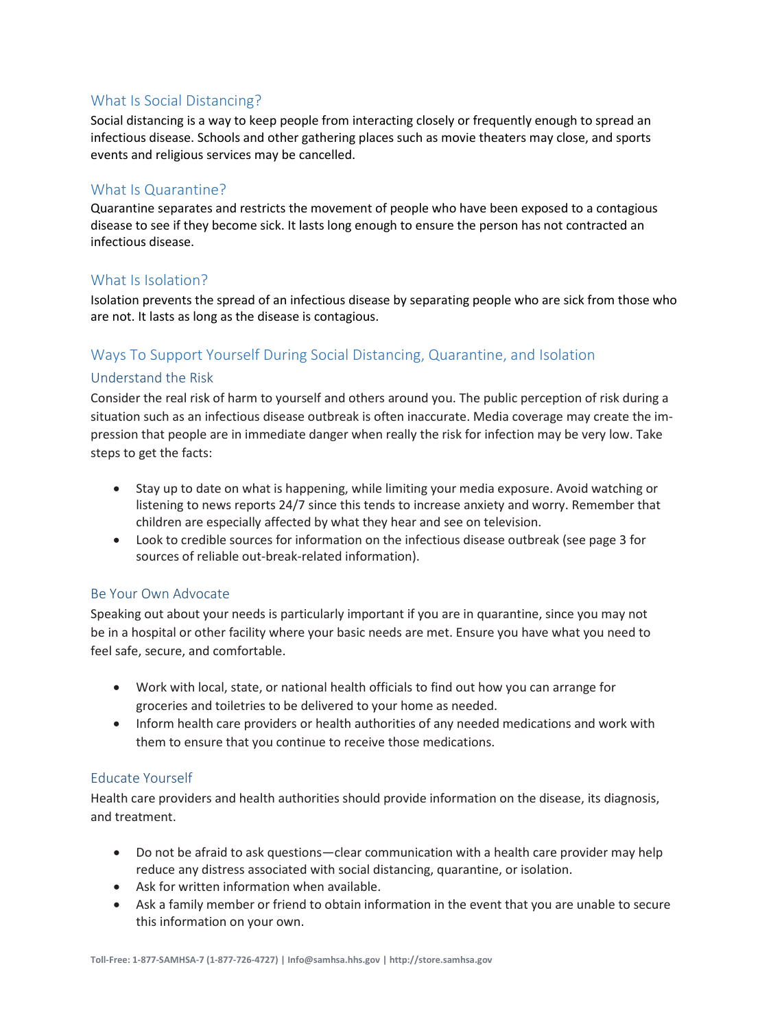# What Is Social Distancing?

Social distancing is a way to keep people from interacting closely or frequently enough to spread an infectious disease. Schools and other gathering places such as movie theaters may close, and sports events and religious services may be cancelled.

## What Is Quarantine?

Quarantine separates and restricts the movement of people who have been exposed to a contagious disease to see if they become sick. It lasts long enough to ensure the person has not contracted an infectious disease.

## What Is Isolation?

Isolation prevents the spread of an infectious disease by separating people who are sick from those who are not. It lasts as long as the disease is contagious.

# Ways To Support Yourself During Social Distancing, Quarantine, and Isolation

## Understand the Risk

Consider the real risk of harm to yourself and others around you. The public perception of risk during a situation such as an infectious disease outbreak is often inaccurate. Media coverage may create the impression that people are in immediate danger when really the risk for infection may be very low. Take steps to get the facts:

- Stay up to date on what is happening, while limiting your media exposure. Avoid watching or listening to news reports 24/7 since this tends to increase anxiety and worry. Remember that children are especially affected by what they hear and see on television.
- Look to credible sources for information on the infectious disease outbreak (see page 3 for sources of reliable out-break-related information).

## Be Your Own Advocate

Speaking out about your needs is particularly important if you are in quarantine, since you may not be in a hospital or other facility where your basic needs are met. Ensure you have what you need to feel safe, secure, and comfortable.

- Work with local, state, or national health officials to find out how you can arrange for groceries and toiletries to be delivered to your home as needed.
- Inform health care providers or health authorities of any needed medications and work with them to ensure that you continue to receive those medications.

## Educate Yourself

Health care providers and health authorities should provide information on the disease, its diagnosis, and treatment.

- Do not be afraid to ask questions—clear communication with a health care provider may help reduce any distress associated with social distancing, quarantine, or isolation.
- Ask for written information when available.
- Ask a family member or friend to obtain information in the event that you are unable to secure this information on your own.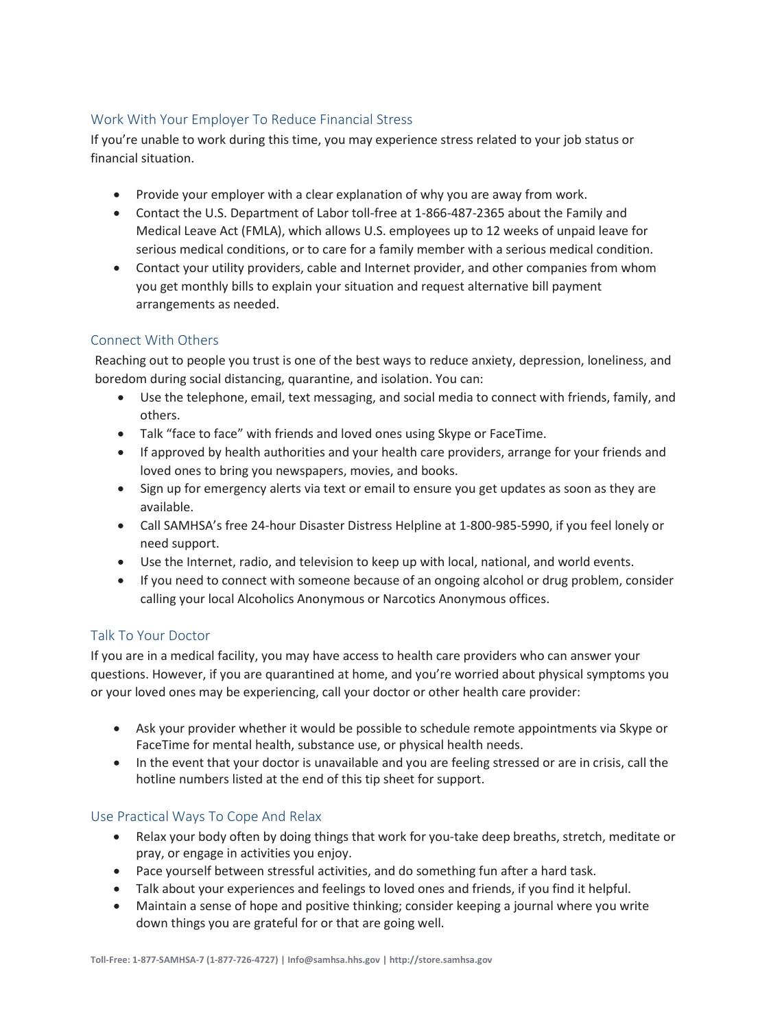# Work With Your Employer To Reduce Financial Stress

If you're unable to work during this time, you may experience stress related to your job status or financial situation.

- Provide your employer with a clear explanation of why you are away from work.
- Contact the U.S. Department of Labor toll-free at 1-866-487-2365 about the Family and Medical Leave Act (FMLA), which allows U.S. employees up to 12 weeks of unpaid leave for serious medical conditions, or to care for a family member with a serious medical condition.
- Contact your utility providers, cable and Internet provider, and other companies from whom you get monthly bills to explain your situation and request alternative bill payment arrangements as needed.

## Connect With Others

Reaching out to people you trust is one of the best ways to reduce anxiety, depression, loneliness, and boredom during social distancing, quarantine, and isolation. You can:

- Use the telephone, email, text messaging, and social media to connect with friends, family, and others.
- Talk "face to face" with friends and loved ones using Skype or FaceTime.
- If approved by health authorities and your health care providers, arrange for your friends and loved ones to bring you newspapers, movies, and books.
- Sign up for emergency alerts via text or email to ensure you get updates as soon as they are available.
- Call SAMHSA's free 24-hour Disaster Distress Helpline at 1-800-985-5990, if you feel lonely or need support.
- Use the Internet, radio, and television to keep up with local, national, and world events.
- If you need to connect with someone because of an ongoing alcohol or drug problem, consider calling your local Alcoholics Anonymous or Narcotics Anonymous offices.

## Talk To Your Doctor

If you are in a medical facility, you may have access to health care providers who can answer your questions. However, if you are quarantined at home, and you're worried about physical symptoms you or your loved ones may be experiencing, call your doctor or other health care provider:

- Ask your provider whether it would be possible to schedule remote appointments via Skype or FaceTime for mental health, substance use, or physical health needs.
- In the event that your doctor is unavailable and you are feeling stressed or are in crisis, call the hotline numbers listed at the end of this tip sheet for support.

## Use Practical Ways To Cope And Relax

- Relax your body often by doing things that work for you-take deep breaths, stretch, meditate or pray, or engage in activities you enjoy.
- Pace yourself between stressful activities, and do something fun after a hard task.
- Talk about your experiences and feelings to loved ones and friends, if you find it helpful.
- Maintain a sense of hope and positive thinking; consider keeping a journal where you write down things you are grateful for or that are going well.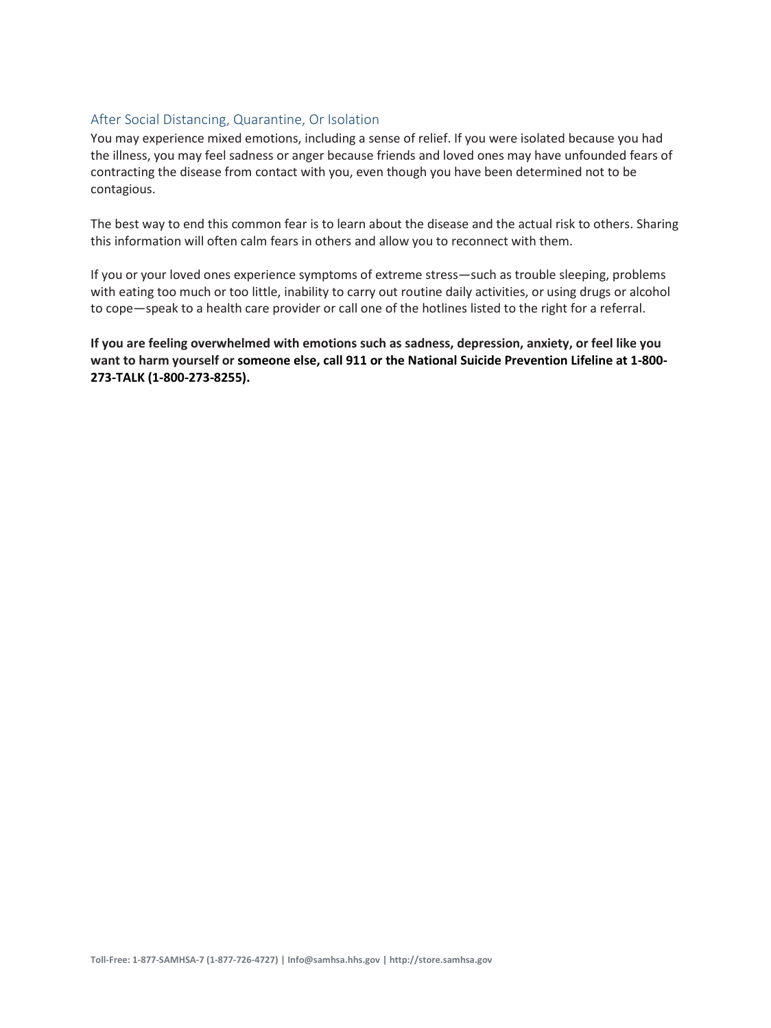#### After Social Distancing, Quarantine, Or Isolation

You may experience mixed emotions, including a sense of relief. If you were isolated because you had the illness, you may feel sadness or anger because friends and loved ones may have unfounded fears of contracting the disease from contact with you, even though you have been determined not to be contagious.

The best way to end this common fear is to learn about the disease and the actual risk to others. Sharing this information will often calm fears in others and allow you to reconnect with them.

If you or your loved ones experience symptoms of extreme stress—such as trouble sleeping, problems with eating too much or too little, inability to carry out routine daily activities, or using drugs or alcohol to cope—speak to a health care provider or call one of the hotlines listed to the right for a referral.

**If you are feeling overwhelmed with emotions such as sadness, depression, anxiety, or feel like you want to harm yourself or someone else, call 911 or the National Suicide Prevention Lifeline at 1-800- 273-TALK (1-800-273-8255).**